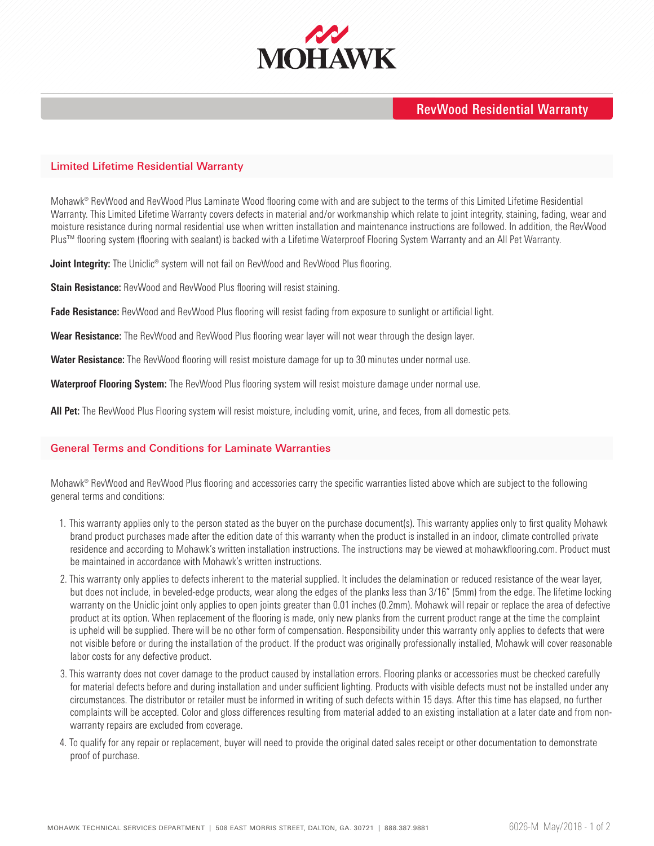

## RevWood Residential Warranty

#### Limited Lifetime Residential Warranty

Mohawk® RevWood and RevWood Plus Laminate Wood flooring come with and are subject to the terms of this Limited Lifetime Residential Warranty. This Limited Lifetime Warranty covers defects in material and/or workmanship which relate to joint integrity, staining, fading, wear and moisture resistance during normal residential use when written installation and maintenance instructions are followed. In addition, the RevWood Plus™ flooring system (flooring with sealant) is backed with a Lifetime Waterproof Flooring System Warranty and an All Pet Warranty.

**Joint Integrity:** The Uniclic® system will not fail on RevWood and RevWood Plus flooring.

**Stain Resistance:** RevWood and RevWood Plus flooring will resist staining.

**Fade Resistance:** RevWood and RevWood Plus flooring will resist fading from exposure to sunlight or artificial light.

**Wear Resistance:** The RevWood and RevWood Plus flooring wear layer will not wear through the design layer.

**Water Resistance:** The RevWood flooring will resist moisture damage for up to 30 minutes under normal use.

**Waterproof Flooring System:** The RevWood Plus flooring system will resist moisture damage under normal use.

**All Pet:** The RevWood Plus Flooring system will resist moisture, including vomit, urine, and feces, from all domestic pets.

### General Terms and Conditions for Laminate Warranties

Mohawk® RevWood and RevWood Plus flooring and accessories carry the specific warranties listed above which are subject to the following general terms and conditions:

- 1. This warranty applies only to the person stated as the buyer on the purchase document(s). This warranty applies only to first quality Mohawk brand product purchases made after the edition date of this warranty when the product is installed in an indoor, climate controlled private residence and according to Mohawk's written installation instructions. The instructions may be viewed at mohawkflooring.com. Product must be maintained in accordance with Mohawk's written instructions.
- 2. This warranty only applies to defects inherent to the material supplied. It includes the delamination or reduced resistance of the wear layer, but does not include, in beveled-edge products, wear along the edges of the planks less than 3/16" (5mm) from the edge. The lifetime locking warranty on the Uniclic joint only applies to open joints greater than 0.01 inches (0.2mm). Mohawk will repair or replace the area of defective product at its option. When replacement of the flooring is made, only new planks from the current product range at the time the complaint is upheld will be supplied. There will be no other form of compensation. Responsibility under this warranty only applies to defects that were not visible before or during the installation of the product. If the product was originally professionally installed, Mohawk will cover reasonable labor costs for any defective product.
- 3. This warranty does not cover damage to the product caused by installation errors. Flooring planks or accessories must be checked carefully for material defects before and during installation and under sufficient lighting. Products with visible defects must not be installed under any circumstances. The distributor or retailer must be informed in writing of such defects within 15 days. After this time has elapsed, no further complaints will be accepted. Color and gloss differences resulting from material added to an existing installation at a later date and from nonwarranty repairs are excluded from coverage.
- 4. To qualify for any repair or replacement, buyer will need to provide the original dated sales receipt or other documentation to demonstrate proof of purchase.